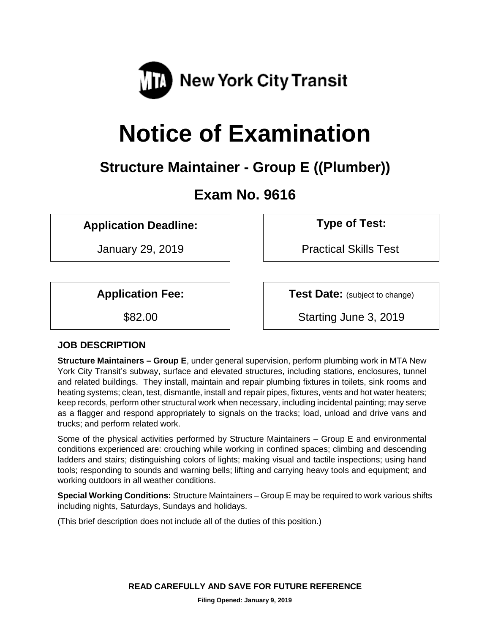

# **Notice of Examination**

# **Structure Maintainer - Group E ((Plumber))**

# **Exam No. 9616**

**Application Deadline: Type of Test:** 

January 29, 2019 | Practical Skills Test

**Application Fee:**  $\vert$  **Test Date:** (subject to change)

\$82.00 Starting June 3, 2019

# **JOB DESCRIPTION**

**Structure Maintainers – Group E**, under general supervision, perform plumbing work in MTA New York City Transit's subway, surface and elevated structures, including stations, enclosures, tunnel and related buildings. They install, maintain and repair plumbing fixtures in toilets, sink rooms and heating systems; clean, test, dismantle, install and repair pipes, fixtures, vents and hot water heaters; keep records, perform other structural work when necessary, including incidental painting; may serve as a flagger and respond appropriately to signals on the tracks; load, unload and drive vans and trucks; and perform related work.

Some of the physical activities performed by Structure Maintainers – Group E and environmental conditions experienced are: crouching while working in confined spaces; climbing and descending ladders and stairs; distinguishing colors of lights; making visual and tactile inspections; using hand tools; responding to sounds and warning bells; lifting and carrying heavy tools and equipment; and working outdoors in all weather conditions.

**Special Working Conditions:** Structure Maintainers – Group E may be required to work various shifts including nights, Saturdays, Sundays and holidays.

(This brief description does not include all of the duties of this position.)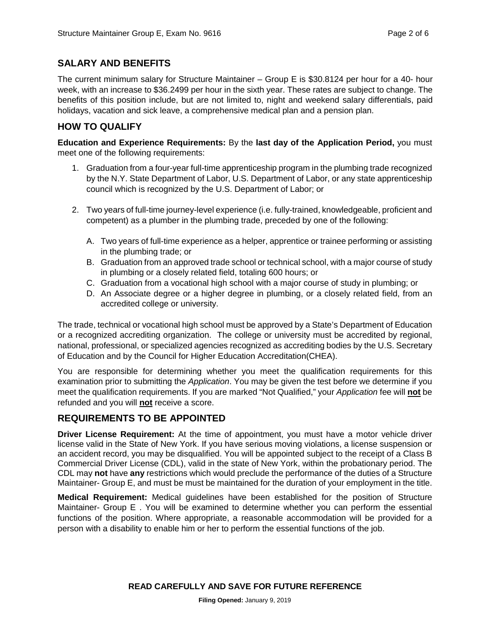# **SALARY AND BENEFITS**

The current minimum salary for Structure Maintainer – Group E is \$30.8124 per hour for a 40- hour week, with an increase to \$36.2499 per hour in the sixth year. These rates are subject to change. The benefits of this position include, but are not limited to, night and weekend salary differentials, paid holidays, vacation and sick leave, a comprehensive medical plan and a pension plan.

## **HOW TO QUALIFY**

**Education and Experience Requirements:** By the **last day of the Application Period,** you must meet one of the following requirements:

- 1. Graduation from a four-year full-time apprenticeship program in the plumbing trade recognized by the N.Y. State Department of Labor, U.S. Department of Labor, or any state apprenticeship council which is recognized by the U.S. Department of Labor; or
- 2. Two years of full-time journey-level experience (i.e. fully-trained, knowledgeable, proficient and competent) as a plumber in the plumbing trade, preceded by one of the following:
	- A. Two years of full-time experience as a helper, apprentice or trainee performing or assisting in the plumbing trade; or
	- B. Graduation from an approved trade school or technical school, with a major course of study in plumbing or a closely related field, totaling 600 hours; or
	- C. Graduation from a vocational high school with a major course of study in plumbing; or
	- D. An Associate degree or a higher degree in plumbing, or a closely related field, from an accredited college or university.

The trade, technical or vocational high school must be approved by a State's Department of Education or a recognized accrediting organization. The college or university must be accredited by regional, national, professional, or specialized agencies recognized as accrediting bodies by the U.S. Secretary of Education and by the Council for Higher Education Accreditation(CHEA).

You are responsible for determining whether you meet the qualification requirements for this examination prior to submitting the *Application*. You may be given the test before we determine if you meet the qualification requirements. If you are marked "Not Qualified," your *Application* fee will **not** be refunded and you will **not** receive a score.

# **REQUIREMENTS TO BE APPOINTED**

**Driver License Requirement:** At the time of appointment, you must have a motor vehicle driver license valid in the State of New York. If you have serious moving violations, a license suspension or an accident record, you may be disqualified. You will be appointed subject to the receipt of a Class B Commercial Driver License (CDL), valid in the state of New York, within the probationary period. The CDL may **not** have **any** restrictions which would preclude the performance of the duties of a Structure Maintainer- Group E, and must be must be maintained for the duration of your employment in the title.

**Medical Requirement:** Medical guidelines have been established for the position of Structure Maintainer- Group E . You will be examined to determine whether you can perform the essential functions of the position. Where appropriate, a reasonable accommodation will be provided for a person with a disability to enable him or her to perform the essential functions of the job.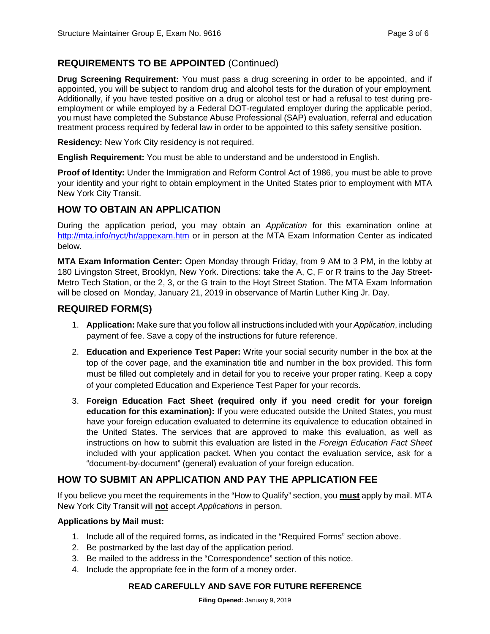# **REQUIREMENTS TO BE APPOINTED** (Continued)

**Drug Screening Requirement:** You must pass a drug screening in order to be appointed, and if appointed, you will be subject to random drug and alcohol tests for the duration of your employment. Additionally, if you have tested positive on a drug or alcohol test or had a refusal to test during preemployment or while employed by a Federal DOT-regulated employer during the applicable period, you must have completed the Substance Abuse Professional (SAP) evaluation, referral and education treatment process required by federal law in order to be appointed to this safety sensitive position.

**Residency:** New York City residency is not required.

**English Requirement:** You must be able to understand and be understood in English.

**Proof of Identity:** Under the Immigration and Reform Control Act of 1986, you must be able to prove your identity and your right to obtain employment in the United States prior to employment with MTA New York City Transit.

#### **HOW TO OBTAIN AN APPLICATION**

During the application period, you may obtain an *Application* for this examination online at <http://mta.info/nyct/hr/appexam.htm> or in person at the MTA Exam Information Center as indicated below.

**MTA Exam Information Center:** Open Monday through Friday, from 9 AM to 3 PM, in the lobby at 180 Livingston Street, Brooklyn, New York. Directions: take the A, C, F or R trains to the Jay Street-Metro Tech Station, or the 2, 3, or the G train to the Hoyt Street Station. The MTA Exam Information will be closed on Monday, January 21, 2019 in observance of Martin Luther King Jr. Day.

# **REQUIRED FORM(S)**

- 1. **Application:** Make sure that you follow all instructions included with your *Application*, including payment of fee. Save a copy of the instructions for future reference.
- 2. **Education and Experience Test Paper:** Write your social security number in the box at the top of the cover page, and the examination title and number in the box provided. This form must be filled out completely and in detail for you to receive your proper rating. Keep a copy of your completed Education and Experience Test Paper for your records.
- 3. **Foreign Education Fact Sheet (required only if you need credit for your foreign education for this examination):** If you were educated outside the United States, you must have your foreign education evaluated to determine its equivalence to education obtained in the United States. The services that are approved to make this evaluation, as well as instructions on how to submit this evaluation are listed in the *Foreign Education Fact Sheet* included with your application packet. When you contact the evaluation service, ask for a "document-by-document" (general) evaluation of your foreign education.

# **HOW TO SUBMIT AN APPLICATION AND PAY THE APPLICATION FEE**

If you believe you meet the requirements in the "How to Qualify" section, you **must** apply by mail. MTA New York City Transit will **not** accept *Applications* in person.

#### **Applications by Mail must:**

- 1. Include all of the required forms, as indicated in the "Required Forms" section above.
- 2. Be postmarked by the last day of the application period.
- 3. Be mailed to the address in the "Correspondence" section of this notice.
- 4. Include the appropriate fee in the form of a money order.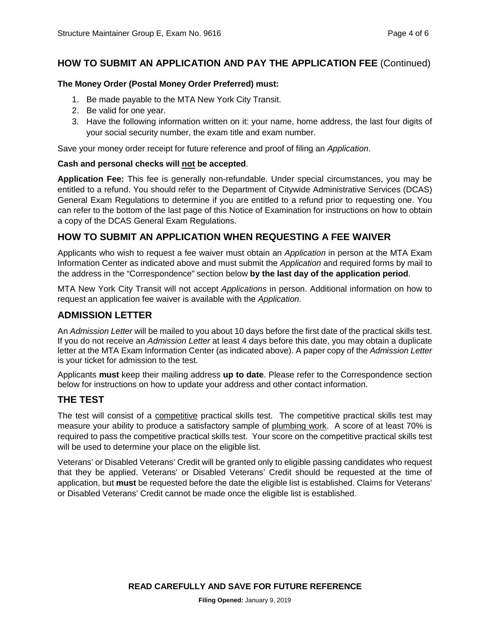# **HOW TO SUBMIT AN APPLICATION AND PAY THE APPLICATION FEE** (Continued)

#### **The Money Order (Postal Money Order Preferred) must:**

- 1. Be made payable to the MTA New York City Transit.
- 2. Be valid for one year.
- 3. Have the following information written on it: your name, home address, the last four digits of your social security number, the exam title and exam number.

Save your money order receipt for future reference and proof of filing an *Application*.

#### **Cash and personal checks will not be accepted**.

**Application Fee:** This fee is generally non-refundable. Under special circumstances, you may be entitled to a refund. You should refer to the Department of Citywide Administrative Services (DCAS) General Exam Regulations to determine if you are entitled to a refund prior to requesting one. You can refer to the bottom of the last page of this Notice of Examination for instructions on how to obtain a copy of the DCAS General Exam Regulations.

# **HOW TO SUBMIT AN APPLICATION WHEN REQUESTING A FEE WAIVER**

Applicants who wish to request a fee waiver must obtain an *Application* in person at the MTA Exam Information Center as indicated above and must submit the *Application* and required forms by mail to the address in the "Correspondence" section below **by the last day of the application period**.

MTA New York City Transit will not accept *Applications* in person. Additional information on how to request an application fee waiver is available with the *Application.*

#### **ADMISSION LETTER**

An *Admission Letter* will be mailed to you about 10 days before the first date of the practical skills test. If you do not receive an *Admission Letter* at least 4 days before this date, you may obtain a duplicate letter at the MTA Exam Information Center (as indicated above). A paper copy of the *Admission Letter* is your ticket for admission to the test.

Applicants **must** keep their mailing address **up to date**. Please refer to the Correspondence section below for instructions on how to update your address and other contact information.

# **THE TEST**

The test will consist of a competitive practical skills test. The competitive practical skills test may measure your ability to produce a satisfactory sample of plumbing work. A score of at least 70% is required to pass the competitive practical skills test. Your score on the competitive practical skills test will be used to determine your place on the eligible list.

Veterans' or Disabled Veterans' Credit will be granted only to eligible passing candidates who request that they be applied. Veterans' or Disabled Veterans' Credit should be requested at the time of application, but **must** be requested before the date the eligible list is established. Claims for Veterans' or Disabled Veterans' Credit cannot be made once the eligible list is established.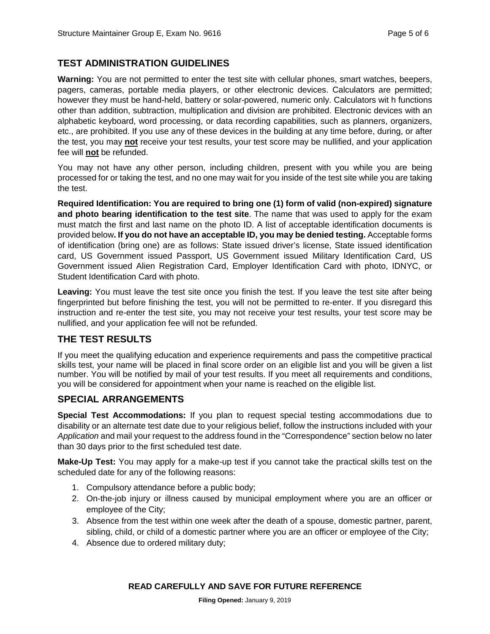# **TEST ADMINISTRATION GUIDELINES**

**Warning:** You are not permitted to enter the test site with cellular phones, smart watches, beepers, pagers, cameras, portable media players, or other electronic devices. Calculators are permitted; however they must be hand-held, battery or solar-powered, numeric only. Calculators wit h functions other than addition, subtraction, multiplication and division are prohibited. Electronic devices with an alphabetic keyboard, word processing, or data recording capabilities, such as planners, organizers, etc., are prohibited. If you use any of these devices in the building at any time before, during, or after the test, you may **not** receive your test results, your test score may be nullified, and your application fee will **not** be refunded.

You may not have any other person, including children, present with you while you are being processed for or taking the test, and no one may wait for you inside of the test site while you are taking the test.

**Required Identification: You are required to bring one (1) form of valid (non-expired) signature and photo bearing identification to the test site**. The name that was used to apply for the exam must match the first and last name on the photo ID. A list of acceptable identification documents is provided below**. If you do not have an acceptable ID, you may be denied testing.** Acceptable forms of identification (bring one) are as follows: State issued driver's license, State issued identification card, US Government issued Passport, US Government issued Military Identification Card, US Government issued Alien Registration Card, Employer Identification Card with photo, IDNYC, or Student Identification Card with photo.

**Leaving:** You must leave the test site once you finish the test. If you leave the test site after being fingerprinted but before finishing the test, you will not be permitted to re-enter. If you disregard this instruction and re-enter the test site, you may not receive your test results, your test score may be nullified, and your application fee will not be refunded.

# **THE TEST RESULTS**

If you meet the qualifying education and experience requirements and pass the competitive practical skills test, your name will be placed in final score order on an eligible list and you will be given a list number. You will be notified by mail of your test results. If you meet all requirements and conditions, you will be considered for appointment when your name is reached on the eligible list.

# **SPECIAL ARRANGEMENTS**

**Special Test Accommodations:** If you plan to request special testing accommodations due to disability or an alternate test date due to your religious belief, follow the instructions included with your *Application* and mail your request to the address found in the "Correspondence" section below no later than 30 days prior to the first scheduled test date.

**Make-Up Test:** You may apply for a make-up test if you cannot take the practical skills test on the scheduled date for any of the following reasons:

- 1. Compulsory attendance before a public body;
- 2. On-the-job injury or illness caused by municipal employment where you are an officer or employee of the City;
- 3. Absence from the test within one week after the death of a spouse, domestic partner, parent, sibling, child, or child of a domestic partner where you are an officer or employee of the City;
- 4. Absence due to ordered military duty;